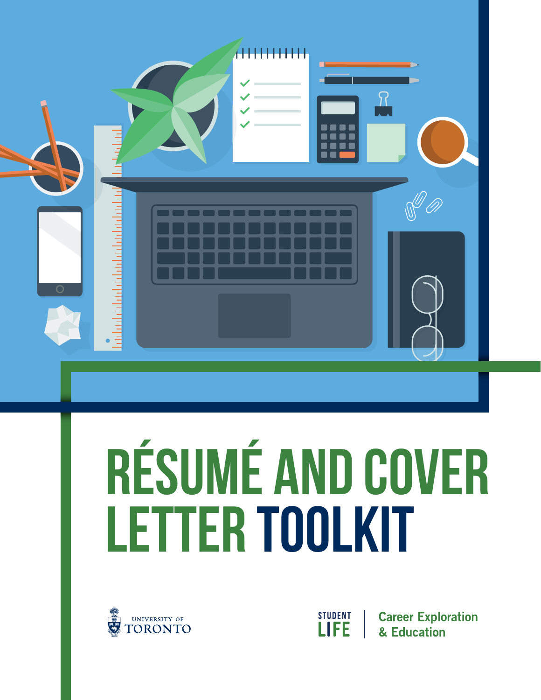|                | AHHHHHH<br>┓                                          |  |
|----------------|-------------------------------------------------------|--|
| $\overline{O}$ | <u>adalahaladahalahalahalah</u><br>$\varphi$ ( )<br>耳 |  |

# **RÉSUMÉ AND COVER LETTER TOOLKIT**



STUDENT<br>LIFE

**Career Exploration** & Education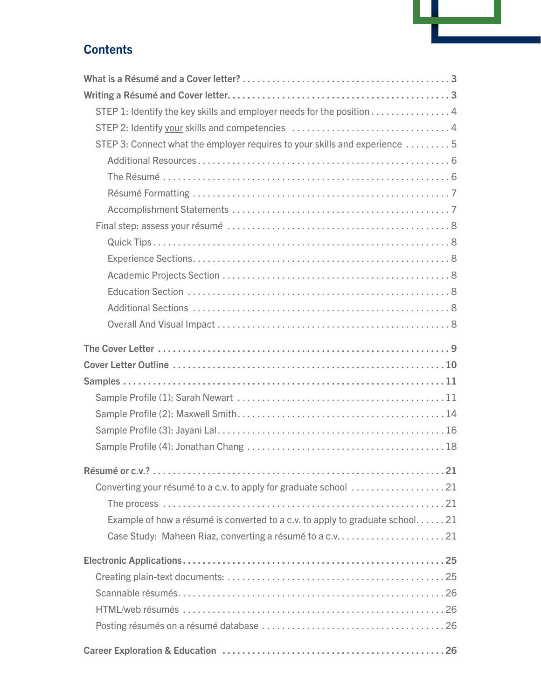# **Contents**

| STEP 1: Identify the key skills and employer needs for the position 4          |
|--------------------------------------------------------------------------------|
|                                                                                |
| STEP 3: Connect what the employer requires to your skills and experience  5    |
|                                                                                |
|                                                                                |
|                                                                                |
|                                                                                |
|                                                                                |
|                                                                                |
|                                                                                |
|                                                                                |
|                                                                                |
|                                                                                |
|                                                                                |
|                                                                                |
|                                                                                |
|                                                                                |
|                                                                                |
|                                                                                |
|                                                                                |
|                                                                                |
|                                                                                |
|                                                                                |
|                                                                                |
|                                                                                |
| Example of how a résumé is converted to a c.v. to apply to graduate school. 21 |
|                                                                                |
|                                                                                |
|                                                                                |
|                                                                                |
|                                                                                |
|                                                                                |
|                                                                                |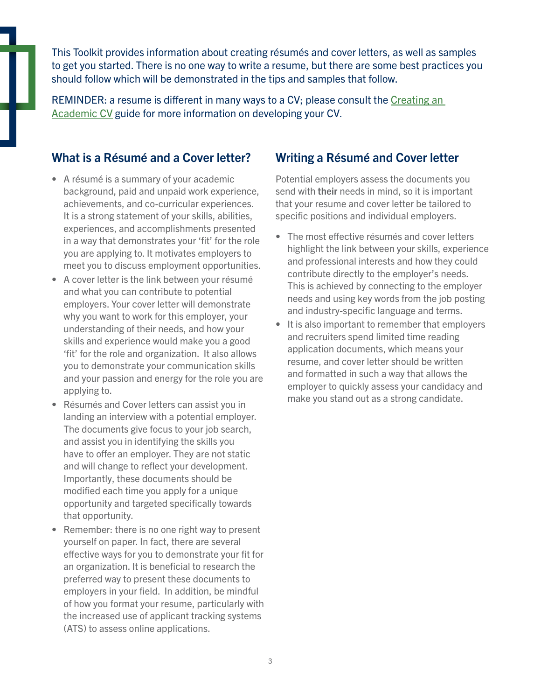This Toolkit provides information about creating résumés and cover letters, as well as samples to get you started. There is no one way to write a resume, but there are some best practices you should follow which will be demonstrated in the tips and samples that follow.

[REMINDER: a resume is different in many ways to a CV; please consult the Creating an](https://studentlife.utoronto.ca/wp-content/uploads/Creating_your_academic_cv_handout.pdf)  Academic CV guide for more information on developing your CV.

#### <span id="page-2-0"></span>What is a Résumé and a Cover letter?

- A résumé is a summary of your academic background, paid and unpaid work experience, achievements, and co-curricular experiences. It is a strong statement of your skills, abilities, experiences, and accomplishments presented in a way that demonstrates your 'fit' for the role you are applying to. It motivates employers to meet you to discuss employment opportunities.
- A cover letter is the link between your résumé and what you can contribute to potential employers. Your cover letter will demonstrate why you want to work for this employer, your understanding of their needs, and how your skills and experience would make you a good 'fit' for the role and organization. It also allows you to demonstrate your communication skills and your passion and energy for the role you are applying to.
- Résumés and Cover letters can assist you in landing an interview with a potential employer. The documents give focus to your job search, and assist you in identifying the skills you have to offer an employer. They are not static and will change to reflect your development. Importantly, these documents should be modified each time you apply for a unique opportunity and targeted specifically towards that opportunity.
- Remember: there is no one right way to present yourself on paper. In fact, there are several effective ways for you to demonstrate your fit for an organization. It is beneficial to research the preferred way to present these documents to employers in your field. In addition, be mindful of how you format your resume, particularly with the increased use of applicant tracking systems (ATS) to assess online applications.

#### <span id="page-2-1"></span>Writing a Résumé and Cover letter

Potential employers assess the documents you send with their needs in mind, so it is important that your resume and cover letter be tailored to specific positions and individual employers.

- The most effective résumés and cover letters highlight the link between your skills, experience and professional interests and how they could contribute directly to the employer's needs. This is achieved by connecting to the employer needs and using key words from the job posting and industry-specific language and terms.
- It is also important to remember that employers and recruiters spend limited time reading application documents, which means your resume, and cover letter should be written and formatted in such a way that allows the employer to quickly assess your candidacy and make you stand out as a strong candidate.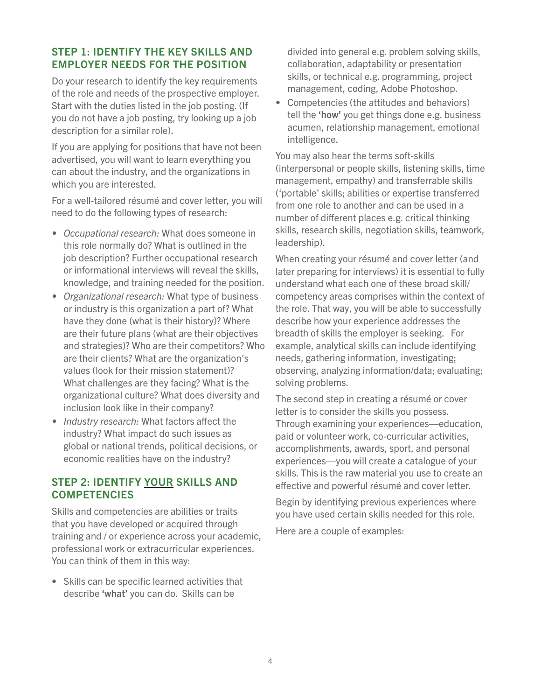#### <span id="page-3-0"></span>STEP 1: IDENTIFY THE KEY SKILLS AND EMPLOYER NEEDS FOR THE POSITION

Do your research to identify the key requirements of the role and needs of the prospective employer. Start with the duties listed in the job posting. (If you do not have a job posting, try looking up a job description for a similar role).

If you are applying for positions that have not been advertised, you will want to learn everything you can about the industry, and the organizations in which you are interested.

For a well-tailored résumé and cover letter, you will need to do the following types of research:

- *• Occupational research:* What does someone in this role normally do? What is outlined in the job description? Further occupational research or informational interviews will reveal the skills, knowledge, and training needed for the position.
- *• Organizational research:* What type of business or industry is this organization a part of? What have they done (what is their history)? Where are their future plans (what are their objectives and strategies)? Who are their competitors? Who are their clients? What are the organization's values (look for their mission statement)? What challenges are they facing? What is the organizational culture? What does diversity and inclusion look like in their company?
- *• Industry research:* What factors affect the industry? What impact do such issues as global or national trends, political decisions, or economic realities have on the industry?

#### <span id="page-3-1"></span>STEP 2: IDENTIFY YOUR SKILLS AND **COMPETENCIES**

Skills and competencies are abilities or traits that you have developed or acquired through training and / or experience across your academic, professional work or extracurricular experiences. You can think of them in this way:

• Skills can be specific learned activities that describe 'what' you can do. Skills can be

divided into general e.g. problem solving skills, collaboration, adaptability or presentation skills, or technical e.g. programming, project management, coding, Adobe Photoshop.

• Competencies (the attitudes and behaviors) tell the 'how' you get things done e.g. business acumen, relationship management, emotional intelligence.

You may also hear the terms soft-skills (interpersonal or people skills, listening skills, time management, empathy) and transferrable skills ('portable' skills; abilities or expertise transferred from one role to another and can be used in a number of different places e.g. critical thinking skills, research skills, negotiation skills, teamwork, leadership).

When creating your résumé and cover letter (and later preparing for interviews) it is essential to fully understand what each one of these broad skill/ competency areas comprises within the context of the role. That way, you will be able to successfully describe how your experience addresses the breadth of skills the employer is seeking. For example, analytical skills can include identifying needs, gathering information, investigating; observing, analyzing information/data; evaluating; solving problems.

The second step in creating a résumé or cover letter is to consider the skills you possess. Through examining your experiences—education, paid or volunteer work, co-curricular activities, accomplishments, awards, sport, and personal experiences—you will create a catalogue of your skills. This is the raw material you use to create an effective and powerful résumé and cover letter.

Begin by identifying previous experiences where you have used certain skills needed for this role.

Here are a couple of examples: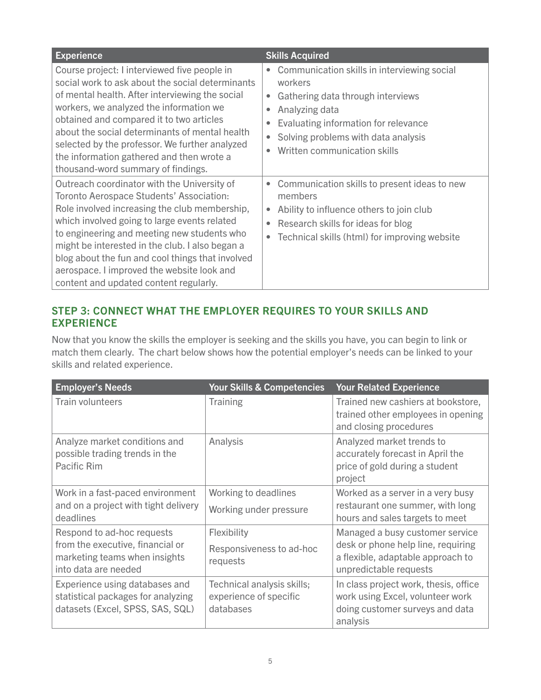| <b>Experience</b>                                                                                                                                                                                                                                                                                                                                                                                                                      | <b>Skills Acquired</b>                                                                                                                                                                                                                                              |
|----------------------------------------------------------------------------------------------------------------------------------------------------------------------------------------------------------------------------------------------------------------------------------------------------------------------------------------------------------------------------------------------------------------------------------------|---------------------------------------------------------------------------------------------------------------------------------------------------------------------------------------------------------------------------------------------------------------------|
| Course project: I interviewed five people in<br>social work to ask about the social determinants<br>of mental health. After interviewing the social<br>workers, we analyzed the information we<br>obtained and compared it to two articles<br>about the social determinants of mental health<br>selected by the professor. We further analyzed<br>the information gathered and then wrote a<br>thousand-word summary of findings.      | Communication skills in interviewing social<br>$\bullet$<br>workers<br>Gathering data through interviews<br>$\bullet$<br>Analyzing data<br>Evaluating information for relevance<br>Solving problems with data analysis<br>$\bullet$<br>Written communication skills |
| Outreach coordinator with the University of<br>Toronto Aerospace Students' Association:<br>Role involved increasing the club membership,<br>which involved going to large events related<br>to engineering and meeting new students who<br>might be interested in the club. I also began a<br>blog about the fun and cool things that involved<br>aerospace. I improved the website look and<br>content and updated content regularly. | Communication skills to present ideas to new<br>$\bullet$<br>members<br>Ability to influence others to join club<br>$\bullet$<br>Research skills for ideas for blog<br>Technical skills (html) for improving website<br>$\bullet$                                   |

#### <span id="page-4-0"></span>STEP 3: CONNECT WHAT THE EMPLOYER REQUIRES TO YOUR SKILLS AND EXPERIENCE

Now that you know the skills the employer is seeking and the skills you have, you can begin to link or match them clearly. The chart below shows how the potential employer's needs can be linked to your skills and related experience.

| <b>Employer's Needs</b>                                                                                                 | <b>Your Skills &amp; Competencies</b>                             | <b>Your Related Experience</b>                                                                                                       |
|-------------------------------------------------------------------------------------------------------------------------|-------------------------------------------------------------------|--------------------------------------------------------------------------------------------------------------------------------------|
| <b>Train volunteers</b>                                                                                                 | <b>Training</b>                                                   | Trained new cashiers at bookstore,<br>trained other employees in opening<br>and closing procedures                                   |
| Analyze market conditions and<br>possible trading trends in the<br>Pacific Rim                                          | Analysis                                                          | Analyzed market trends to<br>accurately forecast in April the<br>price of gold during a student<br>project                           |
| Work in a fast-paced environment<br>and on a project with tight delivery<br>deadlines                                   | Working to deadlines<br>Working under pressure                    | Worked as a server in a very busy<br>restaurant one summer, with long<br>hours and sales targets to meet                             |
| Respond to ad-hoc requests<br>from the executive, financial or<br>marketing teams when insights<br>into data are needed | Flexibility<br>Responsiveness to ad-hoc<br>requests               | Managed a busy customer service<br>desk or phone help line, requiring<br>a flexible, adaptable approach to<br>unpredictable requests |
| Experience using databases and<br>statistical packages for analyzing<br>datasets (Excel, SPSS, SAS, SQL)                | Technical analysis skills;<br>experience of specific<br>databases | In class project work, thesis, office<br>work using Excel, volunteer work<br>doing customer surveys and data<br>analysis             |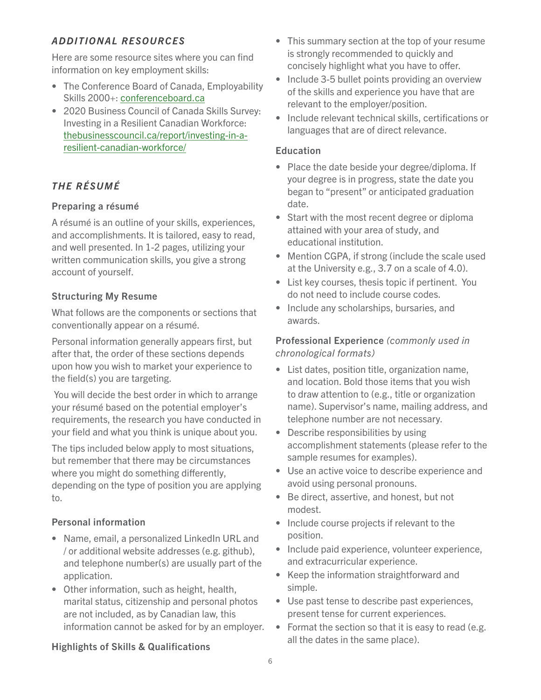#### <span id="page-5-0"></span>*ADDITIONAL RESOURCES*

Here are some resource sites where you can find information on key employment skills:

- The Conference Board of Canada, Employability Skills 2000+: [conferenceboard.ca](https://www.conferenceboard.ca/edu/employability-skills.aspx)
- 2020 Business Council of Canada Skills Survey: Investing in a Resilient Canadian Workforce: [thebusinesscouncil.ca/report/investing-in-a](https://thebusinesscouncil.ca/report/investing-in-a-resilient-canadian-workforce/)resilient-canadian-workforce/

# <span id="page-5-1"></span>*THE RÉSUMÉ*

#### Preparing a résumé

A résumé is an outline of your skills, experiences, and accomplishments. It is tailored, easy to read, and well presented. In 1-2 pages, utilizing your written communication skills, you give a strong account of yourself.

#### Structuring My Resume

What follows are the components or sections that conventionally appear on a résumé.

Personal information generally appears first, but after that, the order of these sections depends upon how you wish to market your experience to the field(s) you are targeting.

 You will decide the best order in which to arrange your résumé based on the potential employer's requirements, the research you have conducted in your field and what you think is unique about you.

The tips included below apply to most situations, but remember that there may be circumstances where you might do something differently, depending on the type of position you are applying to.

#### Personal information

- Name, email, a personalized LinkedIn URL and / or additional website addresses (e.g. github), and telephone number(s) are usually part of the application.
- Other information, such as height, health, marital status, citizenship and personal photos are not included, as by Canadian law, this information cannot be asked for by an employer.
- This summary section at the top of your resume is strongly recommended to quickly and concisely highlight what you have to offer.
- Include 3-5 bullet points providing an overview of the skills and experience you have that are relevant to the employer/position.
- Include relevant technical skills, certifications or languages that are of direct relevance.

## Education

- Place the date beside your degree/diploma. If your degree is in progress, state the date you began to "present" or anticipated graduation date.
- Start with the most recent degree or diploma attained with your area of study, and educational institution.
- Mention CGPA, if strong (include the scale used at the University e.g., 3.7 on a scale of 4.0).
- List key courses, thesis topic if pertinent. You do not need to include course codes.
- Include any scholarships, bursaries, and awards.

#### Professional Experience *(commonly used in chronological formats)*

- List dates, position title, organization name, and location. Bold those items that you wish to draw attention to (e.g., title or organization name). Supervisor's name, mailing address, and telephone number are not necessary.
- Describe responsibilities by using accomplishment statements (please refer to the sample resumes for examples).
- Use an active voice to describe experience and avoid using personal pronouns.
- Be direct, assertive, and honest, but not modest.
- Include course projects if relevant to the position.
- Include paid experience, volunteer experience, and extracurricular experience.
- Keep the information straightforward and simple.
- Use past tense to describe past experiences, present tense for current experiences.
- Format the section so that it is easy to read (e.g. all the dates in the same place).

# Highlights of Skills & Qualifications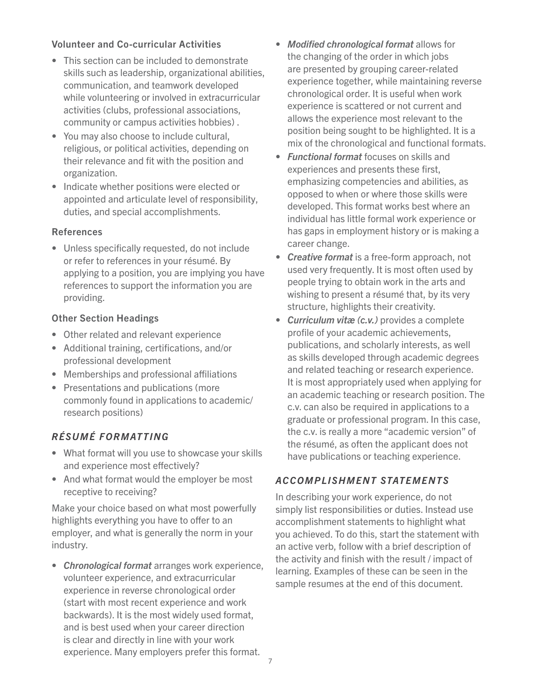#### Volunteer and Co-curricular Activities

- This section can be included to demonstrate skills such as leadership, organizational abilities, communication, and teamwork developed while volunteering or involved in extracurricular activities (clubs, professional associations, community or campus activities hobbies) .
- You may also choose to include cultural, religious, or political activities, depending on their relevance and fit with the position and organization.
- Indicate whether positions were elected or appointed and articulate level of responsibility, duties, and special accomplishments.

#### References

• Unless specifically requested, do not include or refer to references in your résumé. By applying to a position, you are implying you have references to support the information you are providing.

#### Other Section Headings

- Other related and relevant experience
- Additional training, certifications, and/or professional development
- Memberships and professional affiliations
- Presentations and publications (more commonly found in applications to academic/ research positions)

#### <span id="page-6-0"></span>*RÉSUMÉ FORMATTING*

- What format will you use to showcase your skills and experience most effectively?
- And what format would the employer be most receptive to receiving?

Make your choice based on what most powerfully highlights everything you have to offer to an employer, and what is generally the norm in your industry.

• *Chronological format* arranges work experience, volunteer experience, and extracurricular experience in reverse chronological order (start with most recent experience and work backwards). It is the most widely used format, and is best used when your career direction is clear and directly in line with your work experience. Many employers prefer this format.

- *Modified chronological format* allows for the changing of the order in which jobs are presented by grouping career-related experience together, while maintaining reverse chronological order. It is useful when work experience is scattered or not current and allows the experience most relevant to the position being sought to be highlighted. It is a mix of the chronological and functional formats.
- *Functional format* focuses on skills and experiences and presents these first, emphasizing competencies and abilities, as opposed to when or where those skills were developed. This format works best where an individual has little formal work experience or has gaps in employment history or is making a career change.
- *Creative format* is a free-form approach, not used very frequently. It is most often used by people trying to obtain work in the arts and wishing to present a résumé that, by its very structure, highlights their creativity.
- *Curriculum vitæ (c.v.)* provides a complete profile of your academic achievements, publications, and scholarly interests, as well as skills developed through academic degrees and related teaching or research experience. It is most appropriately used when applying for an academic teaching or research position. The c.v. can also be required in applications to a graduate or professional program. In this case, the c.v. is really a more "academic version" of the résumé, as often the applicant does not have publications or teaching experience.

#### <span id="page-6-1"></span>*ACCOMPLISHMENT STATEMENTS*

In describing your work experience, do not simply list responsibilities or duties. Instead use accomplishment statements to highlight what you achieved. To do this, start the statement with an active verb, follow with a brief description of the activity and finish with the result / impact of learning. Examples of these can be seen in the sample resumes at the end of this document.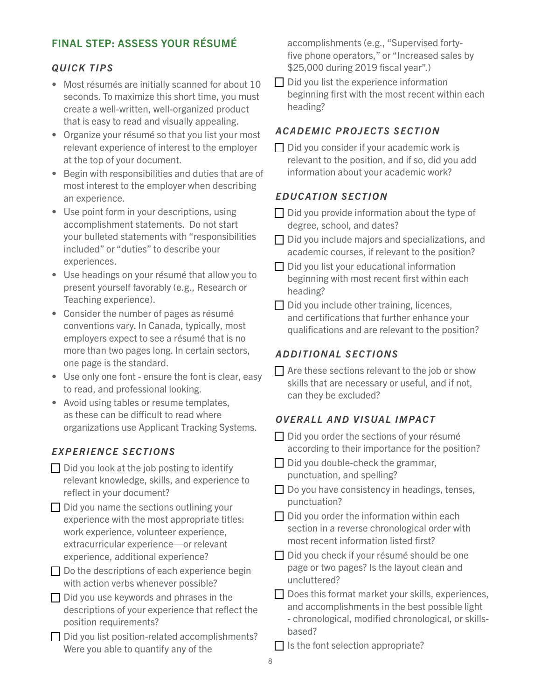#### <span id="page-7-0"></span>FINAL STEP: ASSESS YOUR RÉSUMÉ

#### <span id="page-7-1"></span>*QUICK TIPS*

- Most résumés are initially scanned for about 10 seconds. To maximize this short time, you must create a well-written, well-organized product that is easy to read and visually appealing.
- Organize your résumé so that you list your most relevant experience of interest to the employer at the top of your document.
- Begin with responsibilities and duties that are of most interest to the employer when describing an experience.
- Use point form in your descriptions, using accomplishment statements. Do not start your bulleted statements with "responsibilities included" or "duties" to describe your experiences.
- Use headings on your résumé that allow you to present yourself favorably (e.g., Research or Teaching experience).
- Consider the number of pages as résumé conventions vary. In Canada, typically, most employers expect to see a résumé that is no more than two pages long. In certain sectors, one page is the standard.
- Use only one font ensure the font is clear, easy to read, and professional looking.
- Avoid using tables or resume templates, as these can be difficult to read where organizations use Applicant Tracking Systems.

#### <span id="page-7-2"></span>*EXPERIENCE SECTIONS*

- $\Box$  Did you look at the job posting to identify relevant knowledge, skills, and experience to reflect in your document?
- Did you name the sections outlining your experience with the most appropriate titles: work experience, volunteer experience, extracurricular experience—or relevant experience, additional experience?
- $\Box$  Do the descriptions of each experience begin with action verbs whenever possible?
- $\Box$  Did you use keywords and phrases in the descriptions of your experience that reflect the position requirements?
- $\Box$  Did you list position-related accomplishments? Were you able to quantify any of the

accomplishments (e.g., "Supervised fortyfive phone operators," or "Increased sales by \$25,000 during 2019 fiscal year".)

 $\Box$  Did you list the experience information beginning first with the most recent within each heading?

#### <span id="page-7-3"></span>*ACADEMIC PROJECTS SECTION*

 $\Box$  Did you consider if your academic work is relevant to the position, and if so, did you add information about your academic work?

#### <span id="page-7-4"></span>*EDUCATION SECTION*

- $\Box$  Did you provide information about the type of degree, school, and dates?
- $\Box$  Did you include majors and specializations, and academic courses, if relevant to the position?
- Did you list your educational information beginning with most recent first within each heading?
- $\Box$  Did you include other training, licences, and certifications that further enhance your qualifications and are relevant to the position?

#### <span id="page-7-5"></span>*ADDITIONAL SECTIONS*

 $\Box$  Are these sections relevant to the job or show skills that are necessary or useful, and if not, can they be excluded?

#### <span id="page-7-6"></span>*OVERALL AND VISUAL IMPACT*

- $\Box$  Did you order the sections of your résumé according to their importance for the position?
- $\Box$  Did you double-check the grammar, punctuation, and spelling?
- $\Box$  Do you have consistency in headings, tenses, punctuation?
- $\Box$  Did you order the information within each section in a reverse chronological order with most recent information listed first?
- $\Box$  Did you check if your résumé should be one page or two pages? Is the layout clean and uncluttered?
- Does this format market your skills, experiences, and accomplishments in the best possible light - chronological, modified chronological, or skillsbased?
- $\Box$  Is the font selection appropriate?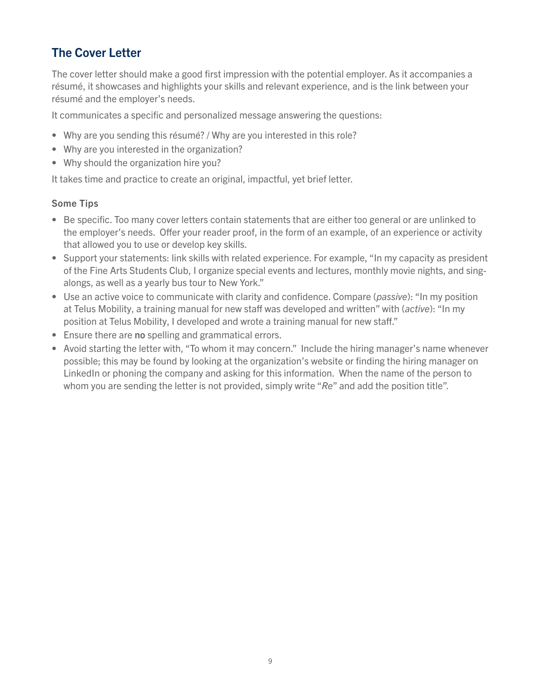# <span id="page-8-0"></span>The Cover Letter

The cover letter should make a good first impression with the potential employer. As it accompanies a résumé, it showcases and highlights your skills and relevant experience, and is the link between your résumé and the employer's needs.

It communicates a specific and personalized message answering the questions:

- Why are you sending this résumé? / Why are you interested in this role?
- Why are you interested in the organization?
- Why should the organization hire you?

It takes time and practice to create an original, impactful, yet brief letter.

#### Some Tips

- Be specific. Too many cover letters contain statements that are either too general or are unlinked to the employer's needs. Offer your reader proof, in the form of an example, of an experience or activity that allowed you to use or develop key skills.
- Support your statements: link skills with related experience. For example, "In my capacity as president of the Fine Arts Students Club, I organize special events and lectures, monthly movie nights, and singalongs, as well as a yearly bus tour to New York."
- Use an active voice to communicate with clarity and confidence. Compare (*passive*): "In my position at Telus Mobility, a training manual for new staff was developed and written" with (*active*): "In my position at Telus Mobility, I developed and wrote a training manual for new staff."
- Ensure there are no spelling and grammatical errors.
- Avoid starting the letter with, "To whom it may concern." Include the hiring manager's name whenever possible; this may be found by looking at the organization's website or finding the hiring manager on LinkedIn or phoning the company and asking for this information. When the name of the person to whom you are sending the letter is not provided, simply write "*Re*" and add the position title".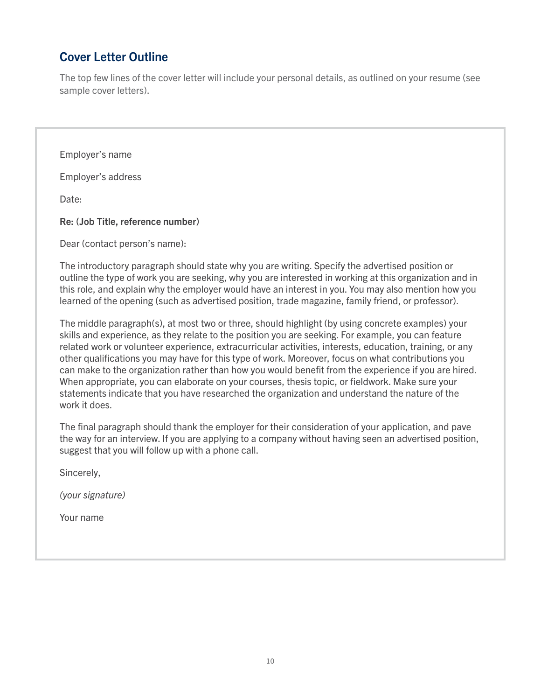# <span id="page-9-0"></span>Cover Letter Outline

The top few lines of the cover letter will include your personal details, as outlined on your resume (see sample cover letters).

Employer's name

Employer's address

Date:

Re: (Job Title, reference number)

Dear (contact person's name):

The introductory paragraph should state why you are writing. Specify the advertised position or outline the type of work you are seeking, why you are interested in working at this organization and in this role, and explain why the employer would have an interest in you. You may also mention how you learned of the opening (such as advertised position, trade magazine, family friend, or professor).

The middle paragraph(s), at most two or three, should highlight (by using concrete examples) your skills and experience, as they relate to the position you are seeking. For example, you can feature related work or volunteer experience, extracurricular activities, interests, education, training, or any other qualifications you may have for this type of work. Moreover, focus on what contributions you can make to the organization rather than how you would benefit from the experience if you are hired. When appropriate, you can elaborate on your courses, thesis topic, or fieldwork. Make sure your statements indicate that you have researched the organization and understand the nature of the work it does.

The final paragraph should thank the employer for their consideration of your application, and pave the way for an interview. If you are applying to a company without having seen an advertised position, suggest that you will follow up with a phone call.

Sincerely,

*(your signature)*

Your name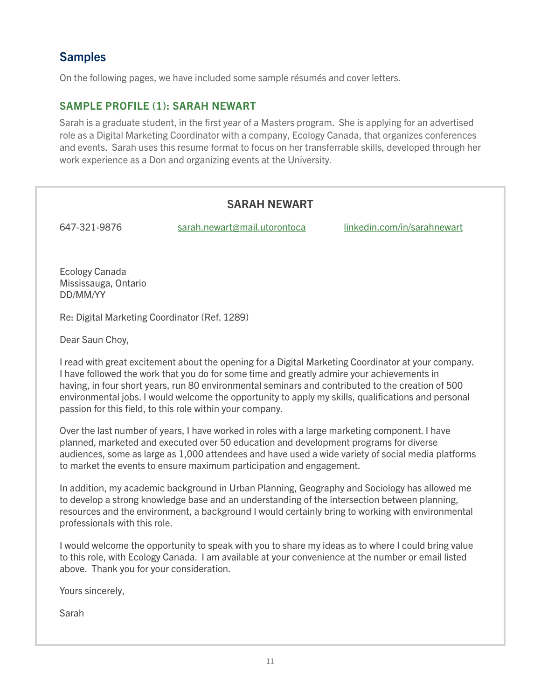# <span id="page-10-0"></span>**Samples**

On the following pages, we have included some sample résumés and cover letters.

#### <span id="page-10-1"></span>SAMPLE PROFILE (1): SARAH NEWART

Sarah is a graduate student, in the first year of a Masters program. She is applying for an advertised role as a Digital Marketing Coordinator with a company, Ecology Canada, that organizes conferences and events. Sarah uses this resume format to focus on her transferrable skills, developed through her work experience as a Don and organizing events at the University.

## SARAH NEWART

647-321-9876 sarah.newart@mail.utorontoca linkedin.com/in/sarahnewart

Ecology Canada Mississauga, Ontario DD/MM/YY

Re: Digital Marketing Coordinator (Ref. 1289)

Dear Saun Choy,

I read with great excitement about the opening for a Digital Marketing Coordinator at your company. I have followed the work that you do for some time and greatly admire your achievements in having, in four short years, run 80 environmental seminars and contributed to the creation of 500 environmental jobs. I would welcome the opportunity to apply my skills, qualifications and personal passion for this field, to this role within your company.

Over the last number of years, I have worked in roles with a large marketing component. I have planned, marketed and executed over 50 education and development programs for diverse audiences, some as large as 1,000 attendees and have used a wide variety of social media platforms to market the events to ensure maximum participation and engagement.

In addition, my academic background in Urban Planning, Geography and Sociology has allowed me to develop a strong knowledge base and an understanding of the intersection between planning, resources and the environment, a background I would certainly bring to working with environmental professionals with this role.

I would welcome the opportunity to speak with you to share my ideas as to where I could bring value to this role, with Ecology Canada. I am available at your convenience at the number or email listed above. Thank you for your consideration.

Yours sincerely,

Sarah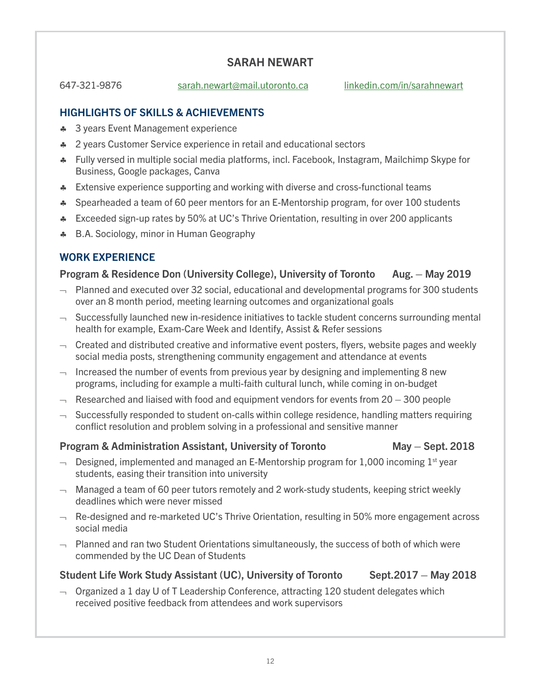#### SARAH NEWART

647-321-9876 sarah.newart@mail.utoronto.ca linkedin.com/in/sarahnewart

#### HIGHLIGHTS OF SKILLS & ACHIEVEMENTS

- ♣ 3 years Event Management experience
- ♣ 2 years Customer Service experience in retail and educational sectors
- ♣ Fully versed in multiple social media platforms, incl. Facebook, Instagram, Mailchimp Skype for Business, Google packages, Canva
- **\*** Extensive experience supporting and working with diverse and cross-functional teams
- ♣ Spearheaded a team of 60 peer mentors for an E-Mentorship program, for over 100 students
- ♣ Exceeded sign-up rates by 50% at UC's Thrive Orientation, resulting in over 200 applicants
- ♣ B.A. Sociology, minor in Human Geography

#### WORK EXPERIENCE

#### Program & Residence Don (University College), University of Toronto Aug. – May 2019

- $\rightarrow$  Planned and executed over 32 social, educational and developmental programs for 300 students over an 8 month period, meeting learning outcomes and organizational goals
- $\lnot$  Successfully launched new in-residence initiatives to tackle student concerns surrounding mental health for example, Exam-Care Week and Identify, Assist & Refer sessions
- $\lnot$  Created and distributed creative and informative event posters, flyers, website pages and weekly social media posts, strengthening community engagement and attendance at events
- $\lnot$  Increased the number of events from previous year by designing and implementing 8 new programs, including for example a multi-faith cultural lunch, while coming in on-budget
- $\rightarrow$  Researched and liaised with food and equipment vendors for events from 20 300 people
- $\lnot$  Successfully responded to student on-calls within college residence, handling matters requiring conflict resolution and problem solving in a professional and sensitive manner

#### Program & Administration Assistant, University of Toronto May – Sept. 2018

- $\rightarrow$  Designed, implemented and managed an E-Mentorship program for 1,000 incoming 1st year students, easing their transition into university
- $\lnot$  Managed a team of 60 peer tutors remotely and 2 work-study students, keeping strict weekly deadlines which were never missed
- $\lnot$  Re-designed and re-marketed UC's Thrive Orientation, resulting in 50% more engagement across social media
- $\lnot$  Planned and ran two Student Orientations simultaneously, the success of both of which were commended by the UC Dean of Students

#### Student Life Work Study Assistant (UC), University of Toronto Sept.2017 – May 2018

- 
- $\lnot$  Organized a 1 day U of T Leadership Conference, attracting 120 student delegates which received positive feedback from attendees and work supervisors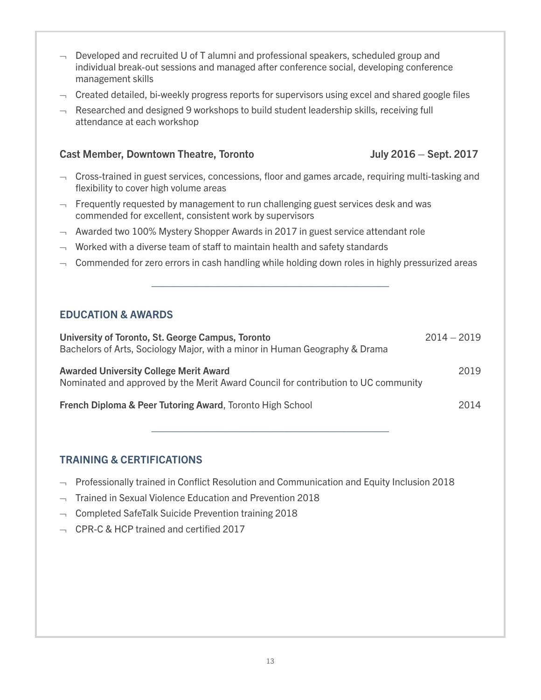- $\lnot$  Developed and recruited U of T alumni and professional speakers, scheduled group and individual break-out sessions and managed after conference social, developing conference management skills
- $\lnot$  Created detailed, bi-weekly progress reports for supervisors using excel and shared google files
- $\lnot$  Researched and designed 9 workshops to build student leadership skills, receiving full attendance at each workshop

#### Cast Member, Downtown Theatre, Toronto Grammann Mully 2016 – Sept. 2017

- $\lnot$  Cross-trained in guest services, concessions, floor and games arcade, requiring multi-tasking and flexibility to cover high volume areas
- $\lnot$  Frequently requested by management to run challenging guest services desk and was commended for excellent, consistent work by supervisors
- $\lnot$  Awarded two 100% Mystery Shopper Awards in 2017 in guest service attendant role
- $\lnot\quad$  Worked with a diverse team of staff to maintain health and safety standards
- $\lnot$  Commended for zero errors in cash handling while holding down roles in highly pressurized areas

\_\_\_\_\_\_\_\_\_\_\_\_\_\_\_\_\_\_\_\_\_\_\_\_\_\_\_\_\_\_\_\_\_\_\_\_\_\_\_\_\_\_

#### EDUCATION & AWARDS

| University of Toronto, St. George Campus, Toronto<br>Bachelors of Arts, Sociology Major, with a minor in Human Geography & Drama    | $2014 - 2019$ |
|-------------------------------------------------------------------------------------------------------------------------------------|---------------|
| <b>Awarded University College Merit Award</b><br>Nominated and approved by the Merit Award Council for contribution to UC community | 2019          |
| French Diploma & Peer Tutoring Award, Toronto High School                                                                           | 2014          |

\_\_\_\_\_\_\_\_\_\_\_\_\_\_\_\_\_\_\_\_\_\_\_\_\_\_\_\_\_\_\_\_\_\_\_\_\_\_\_\_\_\_

#### TRAINING & CERTIFICATIONS

- $\rightarrow$  Professionally trained in Conflict Resolution and Communication and Equity Inclusion 2018
- $\lnot$  Trained in Sexual Violence Education and Prevention 2018
- ¬ Completed SafeTalk Suicide Prevention training 2018
- ¬ CPR-C & HCP trained and certified 2017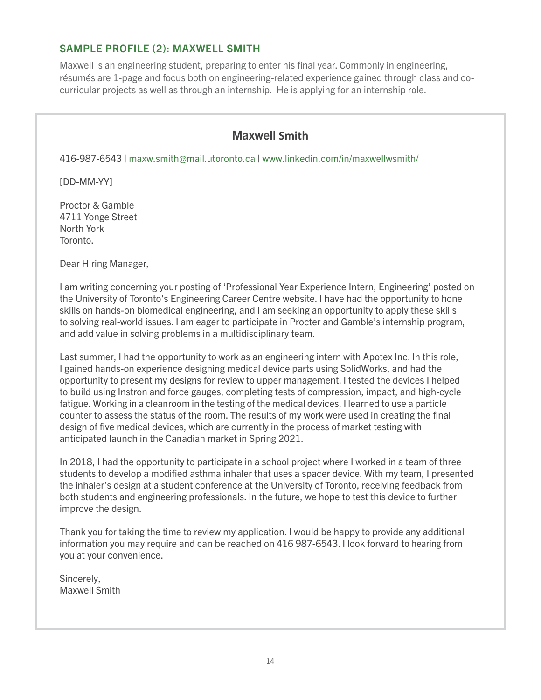#### <span id="page-13-0"></span>SAMPLE PROFILE (2): MAXWELL SMITH

Maxwell is an engineering student, preparing to enter his final year. Commonly in engineering, résumés are 1-page and focus both on engineering-related experience gained through class and cocurricular projects as well as through an internship. He is applying for an internship role.

## Maxwell **Smith**

416-987-6543 | maxw.smith@mail.utoronto.ca | www.linkedin.com/in/maxwellwsmith/

[DD-MM-YY]

Proctor & Gamble 4711 Yonge Street North York Toronto.

Dear Hiring Manager,

I am writing concerning your posting of 'Professional Year Experience Intern, Engineering' posted on the University of Toronto's Engineering Career Centre website. I have had the opportunity to hone skills on hands-on biomedical engineering, and I am seeking an opportunity to apply these skills to solving real-world issues. I am eager to participate in Procter and Gamble's internship program, and add value in solving problems in a multidisciplinary team.

Last summer, I had the opportunity to work as an engineering intern with Apotex Inc. In this role, I gained hands-on experience designing medical device parts using SolidWorks, and had the opportunity to present my designs for review to upper management. I tested the devices I helped to build using Instron and force gauges, completing tests of compression, impact, and high-cycle fatigue. Working in a cleanroom in the testing of the medical devices, I learned to use a particle counter to assess the status of the room. The results of my work were used in creating the final design of five medical devices, which are currently in the process of market testing with anticipated launch in the Canadian market in Spring 2021.

In 2018, I had the opportunity to participate in a school project where I worked in a team of three students to develop a modified asthma inhaler that uses a spacer device. With my team, I presented the inhaler's design at a student conference at the University of Toronto, receiving feedback from both students and engineering professionals. In the future, we hope to test this device to further improve the design.

Thank you for taking the time to review my application. I would be happy to provide any additional information you may require and can be reached on 416 987-6543. I look forward to hearing from you at your convenience.

Sincerely, Maxwell Smith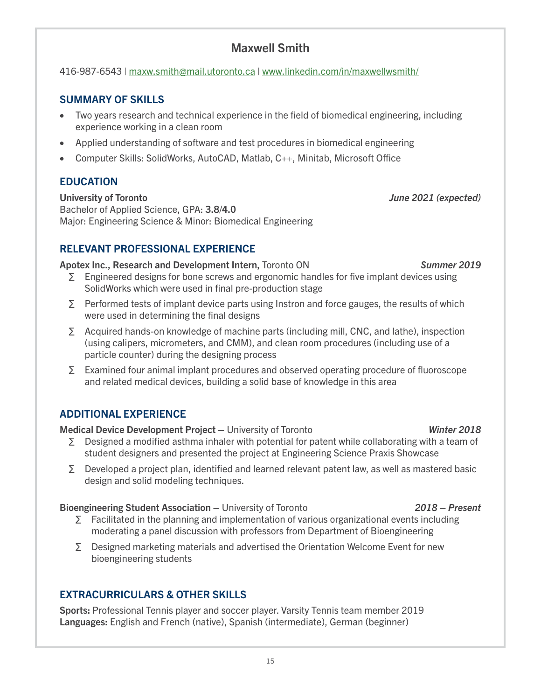15

# Maxwell Smith

# 416-987-6543 | maxw.smith@mail.utoronto.ca | www.linkedin.com/in/maxwellwsmith/

# SUMMARY OF SKILLS

- Two years research and technical experience in the field of biomedical engineering, including experience working in a clean room
- Applied understanding of software and test procedures in biomedical engineering
- Computer Skills: SolidWorks, AutoCAD, Matlab, C++, Minitab, Microsoft Office

# EDUCATION

University of Toronto *June 2021 (expected)* Bachelor of Applied Science, GPA: 3.8/4.0 Major: Engineering Science & Minor: Biomedical Engineering

# RELEVANT PROFESSIONAL EXPERIENCE

## Apotex Inc., Research and Development Intern, Toronto ON *Summer 2019*

- ∑ Engineered designs for bone screws and ergonomic handles for five implant devices using SolidWorks which were used in final pre-production stage
- ∑ Performed tests of implant device parts using Instron and force gauges, the results of which were used in determining the final designs
- ∑ Acquired hands-on knowledge of machine parts (including mill, CNC, and lathe), inspection (using calipers, micrometers, and CMM), and clean room procedures (including use of a particle counter) during the designing process
- ∑ Examined four animal implant procedures and observed operating procedure of fluoroscope and related medical devices, building a solid base of knowledge in this area

# ADDITIONAL EXPERIENCE

Medical Device Development Project – University of Toronto *Winter 2018*

- ∑ Designed a modified asthma inhaler with potential for patent while collaborating with a team of student designers and presented the project at Engineering Science Praxis Showcase
- ∑ Developed a project plan, identified and learned relevant patent law, as well as mastered basic design and solid modeling techniques.

## Bioengineering Student Association – University of Toronto *2018 – Present*

- ∑ Facilitated in the planning and implementation of various organizational events including moderating a panel discussion with professors from Department of Bioengineering
- ∑ Designed marketing materials and advertised the Orientation Welcome Event for new bioengineering students

# EXTRACURRICULARS & OTHER SKILLS

Sports: Professional Tennis player and soccer player. Varsity Tennis team member 2019 Languages: English and French (native), Spanish (intermediate), German (beginner)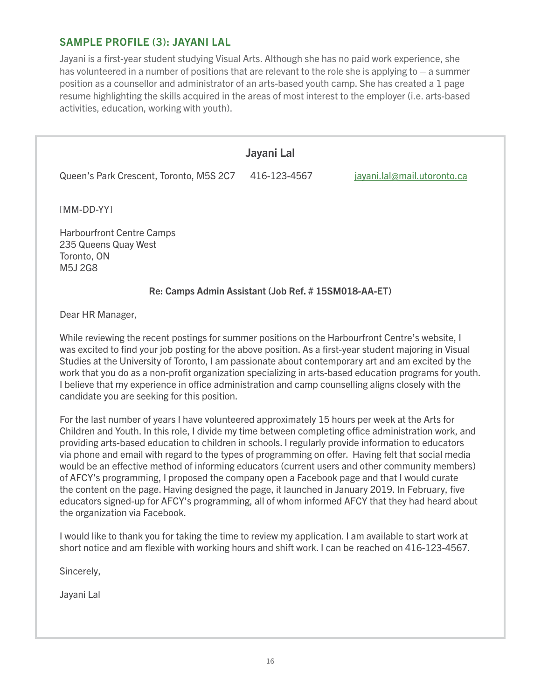#### <span id="page-15-0"></span>SAMPLE PROFILE (3): JAYANI LAL

Jayani is a first-year student studying Visual Arts. Although she has no paid work experience, she has volunteered in a number of positions that are relevant to the role she is applying to  $-$  a summer position as a counsellor and administrator of an arts-based youth camp. She has created a 1 page resume highlighting the skills acquired in the areas of most interest to the employer (i.e. arts-based activities, education, working with youth).

# Jayani Lal Queen's Park Crescent, Toronto, M5S 2C7 416-123-4567 jayani.lal@mail.utoronto.ca [MM-DD-YY] Harbourfront Centre Camps 235 Queens Quay West Toronto, ON M5J 2G8 Re: Camps Admin Assistant (Job Ref. # 15SM018-AA-ET) Dear HR Manager,

While reviewing the recent postings for summer positions on the Harbourfront Centre's website, I was excited to find your job posting for the above position. As a first-year student majoring in Visual Studies at the University of Toronto, I am passionate about contemporary art and am excited by the work that you do as a non-profit organization specializing in arts-based education programs for youth. I believe that my experience in office administration and camp counselling aligns closely with the candidate you are seeking for this position.

For the last number of years I have volunteered approximately 15 hours per week at the Arts for Children and Youth. In this role, I divide my time between completing office administration work, and providing arts-based education to children in schools. I regularly provide information to educators via phone and email with regard to the types of programming on offer. Having felt that social media would be an effective method of informing educators (current users and other community members) of AFCY's programming, I proposed the company open a Facebook page and that I would curate the content on the page. Having designed the page, it launched in January 2019. In February, five educators signed-up for AFCY's programming, all of whom informed AFCY that they had heard about the organization via Facebook.

I would like to thank you for taking the time to review my application. I am available to start work at short notice and am flexible with working hours and shift work. I can be reached on 416-123-4567.

Sincerely,

Jayani Lal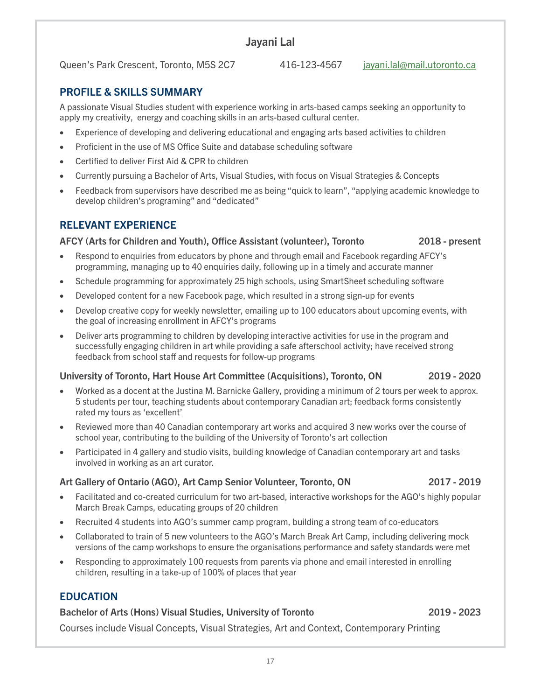## Jayani Lal

Queen's Park Crescent, Toronto, M5S 2C7 416-123-4567 iavani.lal@mail.utoronto.ca

17

PROFILE & SKILLS SUMMARY

A passionate Visual Studies student with experience working in arts-based camps seeking an opportunity to apply my creativity, energy and coaching skills in an arts-based cultural center.

- Experience of developing and delivering educational and engaging arts based activities to children
- Proficient in the use of MS Office Suite and database scheduling software
- Certified to deliver First Aid & CPR to children
- Currently pursuing a Bachelor of Arts, Visual Studies, with focus on Visual Strategies & Concepts
- Feedback from supervisors have described me as being "quick to learn", "applying academic knowledge to develop children's programing" and "dedicated"

#### RELEVANT EXPERIENCE

#### AFCY (Arts for Children and Youth), Office Assistant (volunteer), Toronto 2018 - present

- Respond to enquiries from educators by phone and through email and Facebook regarding AFCY's programming, managing up to 40 enquiries daily, following up in a timely and accurate manner
- Schedule programming for approximately 25 high schools, using SmartSheet scheduling software
- Developed content for a new Facebook page, which resulted in a strong sign-up for events
- Develop creative copy for weekly newsletter, emailing up to 100 educators about upcoming events, with the goal of increasing enrollment in AFCY's programs
- Deliver arts programming to children by developing interactive activities for use in the program and successfully engaging children in art while providing a safe afterschool activity; have received strong feedback from school staff and requests for follow-up programs

#### University of Toronto, Hart House Art Committee (Acquisitions), Toronto, ON 2019 - 2020

- Worked as a docent at the Justina M. Barnicke Gallery, providing a minimum of 2 tours per week to approx. 5 students per tour, teaching students about contemporary Canadian art; feedback forms consistently rated my tours as 'excellent'
- Reviewed more than 40 Canadian contemporary art works and acquired 3 new works over the course of school year, contributing to the building of the University of Toronto's art collection
- Participated in 4 gallery and studio visits, building knowledge of Canadian contemporary art and tasks involved in working as an art curator.

#### Art Gallery of Ontario (AGO), Art Camp Senior Volunteer, Toronto, ON 2017 - 2019

- Facilitated and co-created curriculum for two art-based, interactive workshops for the AGO's highly popular March Break Camps, educating groups of 20 children
- Recruited 4 students into AGO's summer camp program, building a strong team of co-educators
- Collaborated to train of 5 new volunteers to the AGO's March Break Art Camp, including delivering mock versions of the camp workshops to ensure the organisations performance and safety standards were met
- Responding to approximately 100 requests from parents via phone and email interested in enrolling children, resulting in a take-up of 100% of places that year

#### EDUCATION

#### Bachelor of Arts (Hons) Visual Studies, University of Toronto 2019 - 2023

Courses include Visual Concepts, Visual Strategies, Art and Context, Contemporary Printing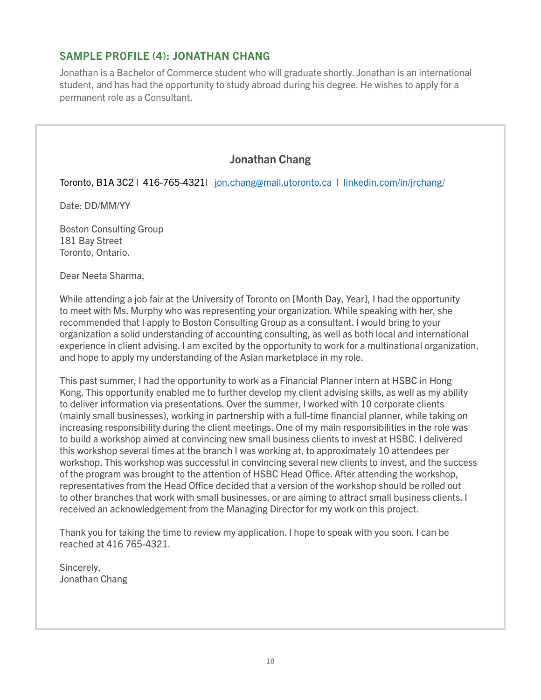#### <span id="page-17-0"></span>SAMPLE PROFILE (4): JONATHAN CHANG

Jonathan is a Bachelor of Commerce student who will graduate shortly. Jonathan is an international student, and has had the opportunity to study abroad during his degree. He wishes to apply for a permanent role as a Consultant.

#### Jonathan Chang

Toronto, B1A 3C2 | 416-765-4321| jon.chang@mail.utoronto.ca | linkedin.com/in/jrchang/

Date: DD/MM/YY

Boston Consulting Group 181 Bay Street Toronto, Ontario.

Dear Neeta Sharma,

While attending a job fair at the University of Toronto on [Month Day, Year], I had the opportunity to meet with Ms. Murphy who was representing your organization. While speaking with her, she recommended that I apply to Boston Consulting Group as a consultant. I would bring to your organization a solid understanding of accounting consulting, as well as both local and international experience in client advising. I am excited by the opportunity to work for a multinational organization, and hope to apply my understanding of the Asian marketplace in my role.

This past summer, I had the opportunity to work as a Financial Planner intern at HSBC in Hong Kong. This opportunity enabled me to further develop my client advising skills, as well as my ability to deliver information via presentations. Over the summer, I worked with 10 corporate clients (mainly small businesses), working in partnership with a full-time financial planner, while taking on increasing responsibility during the client meetings. One of my main responsibilities in the role was to build a workshop aimed at convincing new small business clients to invest at HSBC. I delivered this workshop several times at the branch I was working at, to approximately 10 attendees per workshop. This workshop was successful in convincing several new clients to invest, and the success of the program was brought to the attention of HSBC Head Office. After attending the workshop, representatives from the Head Office decided that a version of the workshop should be rolled out to other branches that work with small businesses, or are aiming to attract small business clients. I received an acknowledgement from the Managing Director for my work on this project.

Thank you for taking the time to review my application. I hope to speak with you soon. I can be reached at 416 765-4321.

Sincerely, Jonathan Chang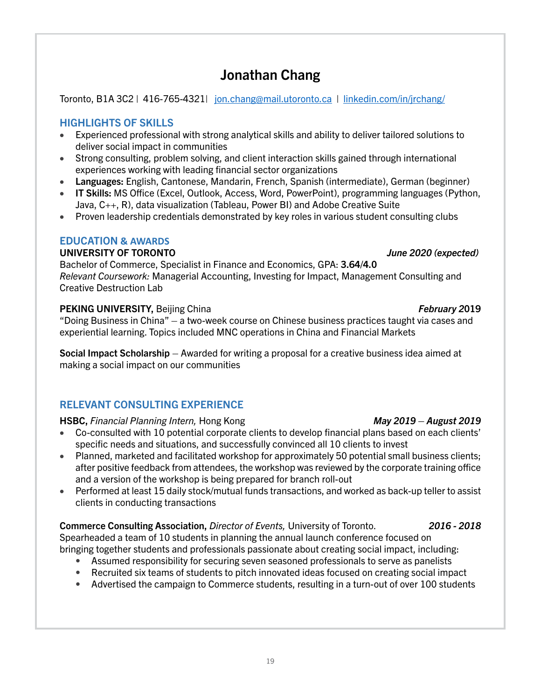# Jonathan Chang

Toronto, B1A 3C2 | 416-765-4321| jon.chang@mail.utoronto.ca | linkedin.com/in/jrchang/

#### HIGHLIGHTS OF SKILLS

- • Experienced professional with strong analytical skills and ability to deliver tailored solutions to deliver social impact in communities
- Strong consulting, problem solving, and client interaction skills gained through international experiences working with leading financial sector organizations
- Languages: English, Cantonese, Mandarin, French, Spanish (intermediate), German (beginner)
- IT Skills: MS Office (Excel, Outlook, Access, Word, PowerPoint), programming languages (Python, Java, C++, R), data visualization (Tableau, Power BI) and Adobe Creative Suite
- Proven leadership credentials demonstrated by key roles in various student consulting clubs

#### EDUCATION **& AWARDS**

#### UNIVERSITY OF TORONTO *June 2020 (expected)*

Bachelor of Commerce, Specialist in Finance and Economics, GPA: 3.64/4.0 *Relevant Coursework:* Managerial Accounting, Investing for Impact, Management Consulting and Creative Destruction Lab

#### PEKING UNIVERSITY, Beijing China *February 2*019

"Doing Business in China" – a two-week course on Chinese business practices taught via cases and experiential learning. Topics included MNC operations in China and Financial Markets

Social Impact Scholarship – Awarded for writing a proposal for a creative business idea aimed at making a social impact on our communities

#### RELEVANT CONSULTING EXPERIENCE

#### HSBC, *Financial Planning Intern,* Hong Kong *May 2019 – August 2019*

- • Co-consulted with 10 potential corporate clients to develop financial plans based on each clients' specific needs and situations, and successfully convinced all 10 clients to invest
- Planned, marketed and facilitated workshop for approximately 50 potential small business clients; after positive feedback from attendees, the workshop was reviewed by the corporate training office and a version of the workshop is being prepared for branch roll-out
- Performed at least 15 daily stock/mutual funds transactions, and worked as back-up teller to assist clients in conducting transactions

# Commerce Consulting Association, *Director of Events,* University of Toronto. *2016 - 2018*

Spearheaded a team of 10 students in planning the annual launch conference focused on bringing together students and professionals passionate about creating social impact, including: • Assumed responsibility for securing seven seasoned professionals to serve as panelists

- Recruited six teams of students to pitch innovated ideas focused on creating social impact
- Advertised the campaign to Commerce students, resulting in a turn-out of over 100 students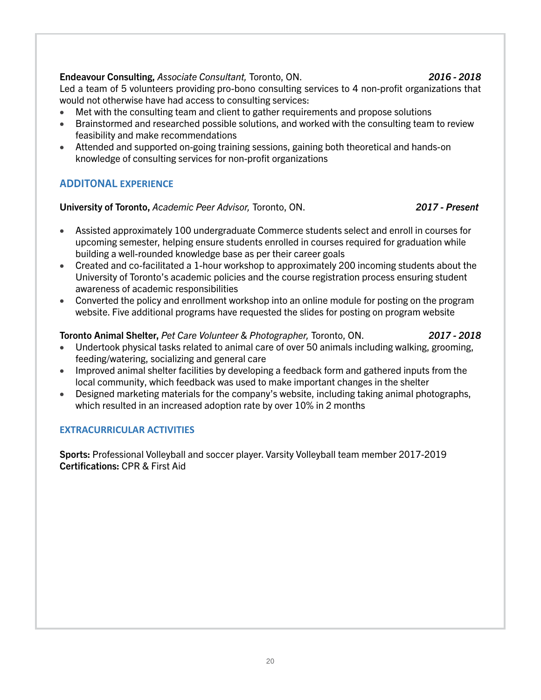#### Endeavour Consulting, *Associate Consultant,* Toronto, ON. *2016 - 2018*

Led a team of 5 volunteers providing pro-bono consulting services to 4 non-profit organizations that would not otherwise have had access to consulting services:

- Met with the consulting team and client to gather requirements and propose solutions
- Brainstormed and researched possible solutions, and worked with the consulting team to review feasibility and make recommendations
- Attended and supported on-going training sessions, gaining both theoretical and hands-on knowledge of consulting services for non-profit organizations

#### ADDITONAL **EXPERIENCE**

University of Toronto, *Academic Peer Advisor,* Toronto, ON. *2017 - Present*

- Assisted approximately 100 undergraduate Commerce students select and enroll in courses for upcoming semester, helping ensure students enrolled in courses required for graduation while building a well-rounded knowledge base as per their career goals
- Created and co-facilitated a 1-hour workshop to approximately 200 incoming students about the University of Toronto's academic policies and the course registration process ensuring student awareness of academic responsibilities
- Converted the policy and enrollment workshop into an online module for posting on the program website. Five additional programs have requested the slides for posting on program website

#### Toronto Animal Shelter, *Pet Care Volunteer & Photographer,* Toronto, ON. *2017 - 2018*

- 
- Undertook physical tasks related to animal care of over 50 animals including walking, grooming, feeding/watering, socializing and general care
- Improved animal shelter facilities by developing a feedback form and gathered inputs from the local community, which feedback was used to make important changes in the shelter
- Designed marketing materials for the company's website, including taking animal photographs, which resulted in an increased adoption rate by over 10% in 2 months

#### **EXTRACURRICULAR ACTIVITIES**

Sports: Professional Volleyball and soccer player. Varsity Volleyball team member 2017-2019 Certifications: CPR & First Aid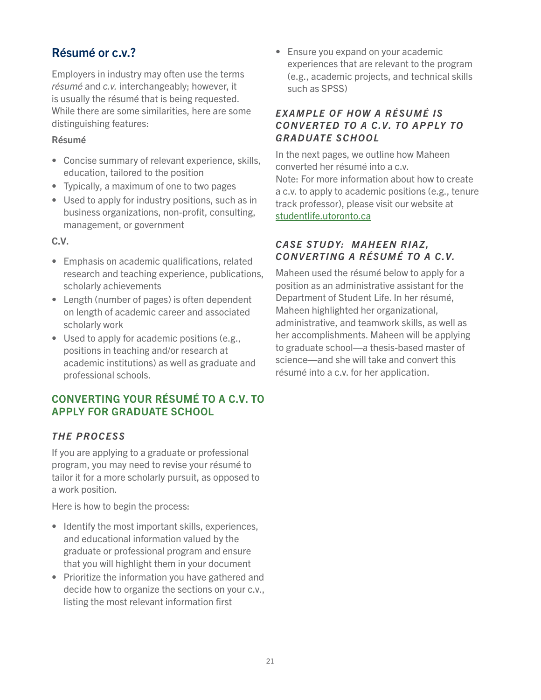# <span id="page-20-0"></span>Résumé or c.v.?

Employers in industry may often use the terms *résumé* and *c.v.* interchangeably; however, it is usually the résumé that is being requested. While there are some similarities, here are some distinguishing features:

#### Résumé

- Concise summary of relevant experience, skills, education, tailored to the position
- Typically, a maximum of one to two pages
- Used to apply for industry positions, such as in business organizations, non-profit, consulting, management, or government

C.V.

- Emphasis on academic qualifications, related research and teaching experience, publications, scholarly achievements
- Length (number of pages) is often dependent on length of academic career and associated scholarly work
- Used to apply for academic positions (e.g., positions in teaching and/or research at academic institutions) as well as graduate and professional schools.

#### <span id="page-20-1"></span>CONVERTING YOUR RÉSUMÉ TO A C.V. TO APPLY FOR GRADUATE SCHOOL

#### <span id="page-20-2"></span>*THE PROCESS*

If you are applying to a graduate or professional program, you may need to revise your résumé to tailor it for a more scholarly pursuit, as opposed to a work position.

Here is how to begin the process:

- Identify the most important skills, experiences, and educational information valued by the graduate or professional program and ensure that you will highlight them in your document
- Prioritize the information you have gathered and decide how to organize the sections on your c.v., listing the most relevant information first

• Ensure you expand on your academic experiences that are relevant to the program (e.g., academic projects, and technical skills such as SPSS)

#### <span id="page-20-3"></span>*EXAMPLE OF HOW A RÉSUMÉ IS CONVERTED TO A C.V. TO APPLY TO GRADUATE SCHOOL*

In the next pages, we outline how Maheen converted her résumé into a c.v. Note: For more information about how to create a c.v. to apply to academic positions (e.g., tenure track professor), please visit our website at [studentlife.utoronto.ca](https://studentlife.utoronto.ca/task/create-your-academic-cv-and-cover-letter/)

#### <span id="page-20-4"></span>*CASE STUDY: MAHEEN RIAZ, CONVERTING A RÉSUMÉ TO A C.V.*

Maheen used the résumé below to apply for a position as an administrative assistant for the Department of Student Life. In her résumé, Maheen highlighted her organizational, administrative, and teamwork skills, as well as her accomplishments. Maheen will be applying to graduate school—a thesis-based master of science—and she will take and convert this résumé into a c.v. for her application.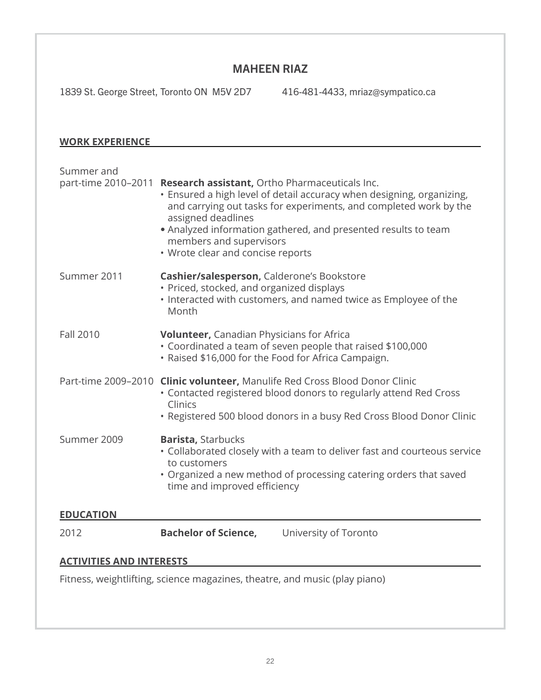#### MAHEEN RIAZ

1839 St. George Street, Toronto ON M5V 2D7 416-481-4433, [mriaz@sympatico.ca](mailto:mriaz@sympatico.ca)

#### **WORK EXPERIENCE**

| Summer and                                                                 | part-time 2010-2011 Research assistant, Ortho Pharmaceuticals Inc.<br>• Ensured a high level of detail accuracy when designing, organizing,<br>and carrying out tasks for experiments, and completed work by the<br>assigned deadlines<br>• Analyzed information gathered, and presented results to team<br>members and supervisors<br>• Wrote clear and concise reports |  |
|----------------------------------------------------------------------------|--------------------------------------------------------------------------------------------------------------------------------------------------------------------------------------------------------------------------------------------------------------------------------------------------------------------------------------------------------------------------|--|
| Summer 2011                                                                | Cashier/salesperson, Calderone's Bookstore<br>· Priced, stocked, and organized displays<br>. Interacted with customers, and named twice as Employee of the<br>Month                                                                                                                                                                                                      |  |
| <b>Fall 2010</b>                                                           | <b>Volunteer, Canadian Physicians for Africa</b><br>• Coordinated a team of seven people that raised \$100,000<br>· Raised \$16,000 for the Food for Africa Campaign.                                                                                                                                                                                                    |  |
|                                                                            | Part-time 2009-2010 Clinic volunteer, Manulife Red Cross Blood Donor Clinic<br>• Contacted registered blood donors to regularly attend Red Cross<br>Clinics<br>• Registered 500 blood donors in a busy Red Cross Blood Donor Clinic                                                                                                                                      |  |
| Summer 2009                                                                | <b>Barista, Starbucks</b><br>• Collaborated closely with a team to deliver fast and courteous service<br>to customers<br>• Organized a new method of processing catering orders that saved<br>time and improved efficiency                                                                                                                                               |  |
| <b>EDUCATION</b>                                                           |                                                                                                                                                                                                                                                                                                                                                                          |  |
| 2012                                                                       | <b>Bachelor of Science,</b><br>University of Toronto                                                                                                                                                                                                                                                                                                                     |  |
| <b>ACTIVITIES AND INTERESTS</b>                                            |                                                                                                                                                                                                                                                                                                                                                                          |  |
| Fitness, weightlifting, science magazines, theatre, and music (play piano) |                                                                                                                                                                                                                                                                                                                                                                          |  |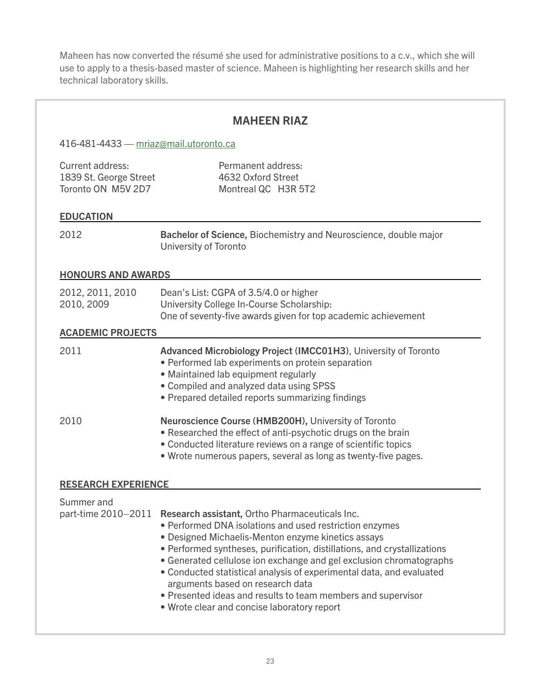Maheen has now converted the résumé she used for administrative positions to a c.v., which she will use to apply to a thesis-based master of science. Maheen is highlighting her research skills and her technical laboratory skills.

|                                                                  | <b>MAHEEN RIAZ</b>                                                                                                                                                                                                                                                                                                                                                                                                                                                                                                                                                |  |
|------------------------------------------------------------------|-------------------------------------------------------------------------------------------------------------------------------------------------------------------------------------------------------------------------------------------------------------------------------------------------------------------------------------------------------------------------------------------------------------------------------------------------------------------------------------------------------------------------------------------------------------------|--|
| 416-481-4433 - mriaz@mail.utoronto.ca                            |                                                                                                                                                                                                                                                                                                                                                                                                                                                                                                                                                                   |  |
| Current address:<br>1839 St. George Street<br>Toronto ON M5V 2D7 | Permanent address:<br>4632 Oxford Street<br>Montreal QC H3R 5T2                                                                                                                                                                                                                                                                                                                                                                                                                                                                                                   |  |
| <b>EDUCATION</b>                                                 |                                                                                                                                                                                                                                                                                                                                                                                                                                                                                                                                                                   |  |
| 2012                                                             | Bachelor of Science, Biochemistry and Neuroscience, double major<br><b>University of Toronto</b>                                                                                                                                                                                                                                                                                                                                                                                                                                                                  |  |
| <b>HONOURS AND AWARDS</b>                                        |                                                                                                                                                                                                                                                                                                                                                                                                                                                                                                                                                                   |  |
| 2012, 2011, 2010<br>2010, 2009                                   | Dean's List: CGPA of 3.5/4.0 or higher<br>University College In-Course Scholarship:<br>One of seventy-five awards given for top academic achievement                                                                                                                                                                                                                                                                                                                                                                                                              |  |
| <b>ACADEMIC PROJECTS</b>                                         |                                                                                                                                                                                                                                                                                                                                                                                                                                                                                                                                                                   |  |
| 2011                                                             | Advanced Microbiology Project (IMCC01H3), University of Toronto<br>• Performed lab experiments on protein separation<br>· Maintained lab equipment regularly<br>• Compiled and analyzed data using SPSS<br>• Prepared detailed reports summarizing findings                                                                                                                                                                                                                                                                                                       |  |
| 2010                                                             | Neuroscience Course (HMB200H), University of Toronto<br>• Researched the effect of anti-psychotic drugs on the brain<br>• Conducted literature reviews on a range of scientific topics<br>• Wrote numerous papers, several as long as twenty-five pages.                                                                                                                                                                                                                                                                                                          |  |
| <b>RESEARCH EXPERIENCE</b>                                       |                                                                                                                                                                                                                                                                                                                                                                                                                                                                                                                                                                   |  |
| Summer and                                                       | part-time 2010-2011 Research assistant, Ortho Pharmaceuticals Inc.<br>• Performed DNA isolations and used restriction enzymes<br>• Designed Michaelis-Menton enzyme kinetics assays<br>• Performed syntheses, purification, distillations, and crystallizations<br>• Generated cellulose ion exchange and gel exclusion chromatographs<br>• Conducted statistical analysis of experimental data, and evaluated<br>arguments based on research data<br>• Presented ideas and results to team members and supervisor<br>. Wrote clear and concise laboratory report |  |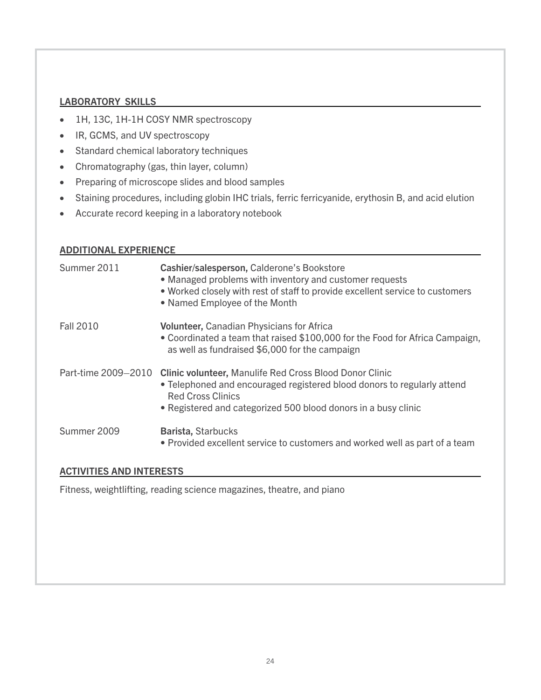#### LABORATORY SKILLS

- • 1H, 13C, 1H-1H COSY NMR spectroscopy
- • IR, GCMS, and UV spectroscopy
- Standard chemical laboratory techniques
- • Chromatography (gas, thin layer, column)
- • Preparing of microscope slides and blood samples
- • Staining procedures, including globin IHC trials, ferric ferricyanide, erythosin B, and acid elution
- • Accurate record keeping in a laboratory notebook

#### ADDITIONAL EXPERIENCE

| Cashier/salesperson, Calderone's Bookstore<br>• Managed problems with inventory and customer requests<br>• Worked closely with rest of staff to provide excellent service to customers<br>• Named Employee of the Month                                        |
|----------------------------------------------------------------------------------------------------------------------------------------------------------------------------------------------------------------------------------------------------------------|
| <b>Volunteer, Canadian Physicians for Africa</b><br>• Coordinated a team that raised \$100,000 for the Food for Africa Campaign,<br>as well as fundraised \$6,000 for the campaign                                                                             |
| Part-time 2009-2010<br><b>Clinic volunteer, Manulife Red Cross Blood Donor Clinic</b><br>• Telephoned and encouraged registered blood donors to regularly attend<br><b>Red Cross Clinics</b><br>• Registered and categorized 500 blood donors in a busy clinic |
| Barista, Starbucks<br>• Provided excellent service to customers and worked well as part of a team                                                                                                                                                              |
|                                                                                                                                                                                                                                                                |

#### ACTIVITIES AND INTERESTS

Fitness, weightlifting, reading science magazines, theatre, and piano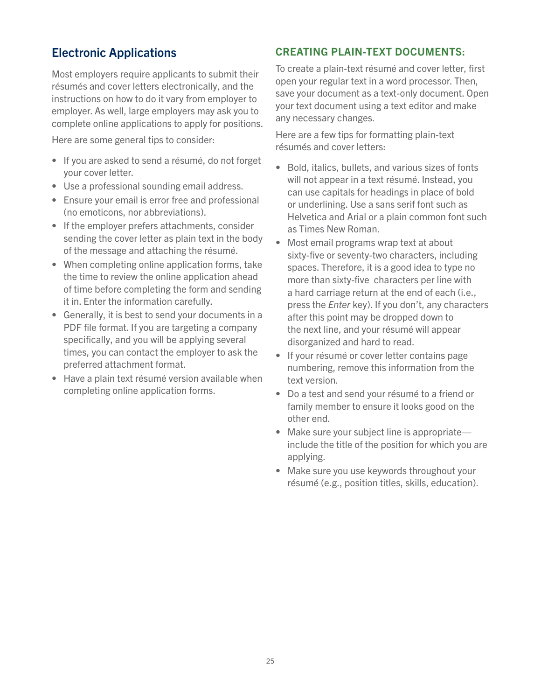# <span id="page-24-0"></span>Electronic Applications

Most employers require applicants to submit their résumés and cover letters electronically, and the instructions on how to do it vary from employer to employer. As well, large employers may ask you to complete online applications to apply for positions.

Here are some general tips to consider:

- If you are asked to send a résumé, do not forget your cover letter.
- Use a professional sounding email address.
- Ensure your email is error free and professional (no emoticons, nor abbreviations).
- If the employer prefers attachments, consider sending the cover letter as plain text in the body of the message and attaching the résumé.
- When completing online application forms, take the time to review the online application ahead of time before completing the form and sending it in. Enter the information carefully.
- Generally, it is best to send your documents in a PDF file format. If you are targeting a company specifically, and you will be applying several times, you can contact the employer to ask the preferred attachment format.
- Have a plain text résumé version available when completing online application forms.

#### <span id="page-24-1"></span>CREATING PLAIN-TEXT DOCUMENTS:

To create a plain-text résumé and cover letter, first open your regular text in a word processor. Then, save your document as a text-only document. Open your text document using a text editor and make any necessary changes.

Here are a few tips for formatting plain-text résumés and cover letters:

- Bold, italics, bullets, and various sizes of fonts will not appear in a text résumé. Instead, you can use capitals for headings in place of bold or underlining. Use a sans serif font such as Helvetica and Arial or a plain common font such as Times New Roman.
- Most email programs wrap text at about sixty-five or seventy-two characters, including spaces. Therefore, it is a good idea to type no more than sixty-five characters per line with a hard carriage return at the end of each (i.e., press the *Enter* key). If you don't, any characters after this point may be dropped down to the next line, and your résumé will appear disorganized and hard to read.
- If your résumé or cover letter contains page numbering, remove this information from the text version.
- Do a test and send your résumé to a friend or family member to ensure it looks good on the other end.
- Make sure your subject line is appropriate include the title of the position for which you are applying.
- Make sure you use keywords throughout your résumé (e.g., position titles, skills, education).